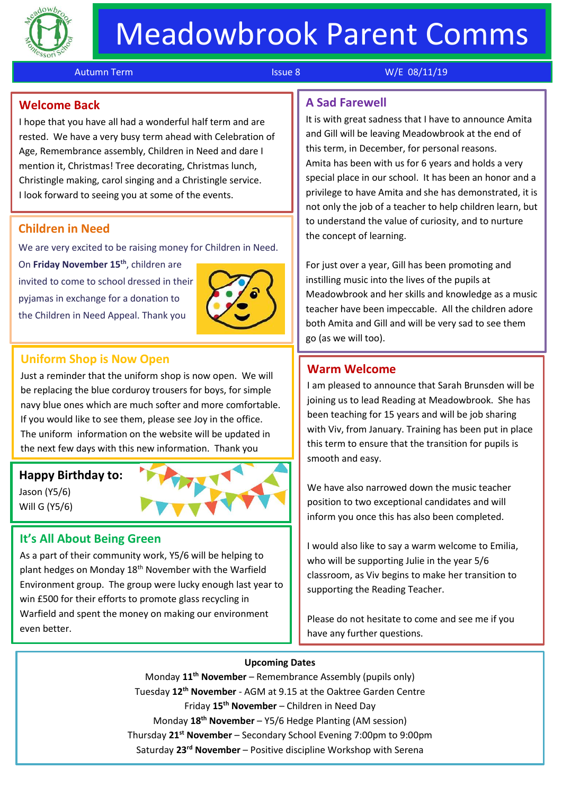

j

Autumn Term Issue 8 W/E 08/11/19

# **Welcome Back**

I hope that you have all had a wonderful half term and are rested. We have a very busy term ahead with Celebration of Age, Remembrance assembly, Children in Need and dare I mention it, Christmas! Tree decorating, Christmas lunch, Christingle making, carol singing and a Christingle service. I look forward to seeing you at some of the events.

#### **Children in Need**

We are very excited to be raising money for Children in Need.

On **Friday November 15 th**, children are invited to come to school dressed in their pyjamas in exchange for a donation to the Children in Need Appeal. Thank you



# **Uniform Shop is Now Open**

Just a reminder that the uniform shop is now open. We will be replacing the blue corduroy trousers for boys, for simple navy blue ones which are much softer and more comfortable. If you would like to see them, please see Joy in the office. The uniform information on the website will be updated in the next few days with this new information. Thank you

#### **Happy Birthday to:**

Jason (Y5/6) Will G (Y5/6)



# **It's All About Being Green**

As a part of their community work, Y5/6 will be helping to plant hedges on Monday 18<sup>th</sup> November with the Warfield Environment group. The group were lucky enough last year to win £500 for their efforts to promote glass recycling in Warfield and spent the money on making our environment even better.

# **A Sad Farewell**

It is with great sadness that I have to announce Amita and Gill will be leaving Meadowbrook at the end of this term, in December, for personal reasons. Amita has been with us for 6 years and holds a very special place in our school. It has been an honor and a privilege to have Amita and she has demonstrated, it is not only the job of a teacher to help children learn, but to understand the value of curiosity, and to nurture the concept of learning.

For just over a year, Gill has been promoting and instilling music into the lives of the pupils at Meadowbrook and her skills and knowledge as a music teacher have been impeccable. All the children adore both Amita and Gill and will be very sad to see them go (as we will too).

#### **Warm Welcome**

I am pleased to announce that Sarah Brunsden will be joining us to lead Reading at Meadowbrook. She has been teaching for 15 years and will be job sharing with Viv, from January. Training has been put in place this term to ensure that the transition for pupils is smooth and easy.

We have also narrowed down the music teacher position to two exceptional candidates and will inform you once this has also been completed.

I would also like to say a warm welcome to Emilia, who will be supporting Julie in the year 5/6 classroom, as Viv begins to make her transition to supporting the Reading Teacher.

Please do not hesitate to come and see me if you have any further questions.

#### **Upcoming Dates**

Monday **11th November** – Remembrance Assembly (pupils only) Tuesday **12th November** - AGM at 9.15 at the Oaktree Garden Centre Friday **15th November** – Children in Need Day Monday **18th November** – Y5/6 Hedge Planting (AM session) Thursday **21st November** – Secondary School Evening 7:00pm to 9:00pm Saturday **23rd November** – Positive discipline Workshop with Serena